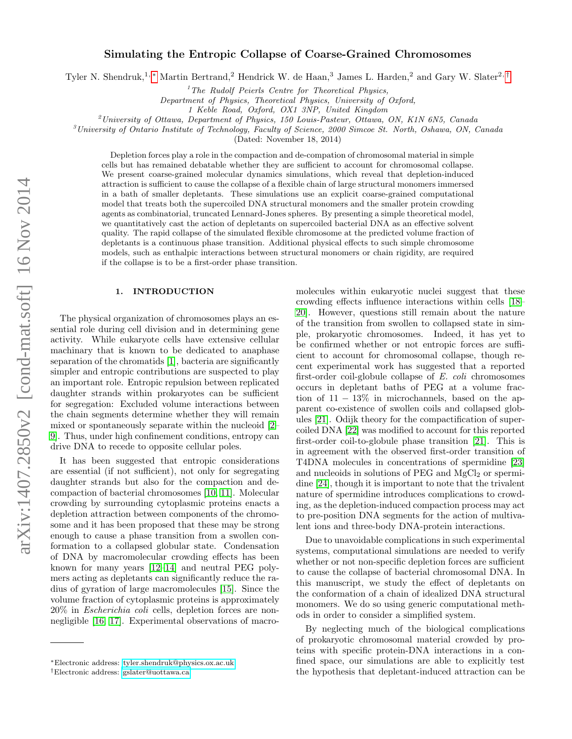# Simulating the Entropic Collapse of Coarse-Grained Chromosomes

Tyler N. Shendruk,<sup>1,</sup> [∗](#page-0-0) Martin Bertrand,<sup>2</sup> Hendrick W. de Haan,<sup>3</sup> James L. Harden,<sup>2</sup> and Gary W. Slater<sup>2,[†](#page-0-1)</sup>

 $1$ <sup>1</sup>The Rudolf Peierls Centre for Theoretical Physics,

Department of Physics, Theoretical Physics, University of Oxford,

1 Keble Road, Oxford, OX1 3NP, United Kingdom

<sup>2</sup>University of Ottawa, Department of Physics, 150 Louis-Pasteur, Ottawa, ON, K1N 6N5, Canada

 $3$ University of Ontario Institute of Technology, Faculty of Science, 2000 Simcoe St. North, Oshawa, ON, Canada

(Dated: November 18, 2014)

Depletion forces play a role in the compaction and de-compation of chromosomal material in simple cells but has remained debatable whether they are sufficient to account for chromosomal collapse. We present coarse-grained molecular dynamics simulations, which reveal that depletion-induced attraction is sufficient to cause the collapse of a flexible chain of large structural monomers immersed in a bath of smaller depletants. These simulations use an explicit coarse-grained computational model that treats both the supercoiled DNA structural monomers and the smaller protein crowding agents as combinatorial, truncated Lennard-Jones spheres. By presenting a simple theoretical model, we quantitatively cast the action of depletants on supercoiled bacterial DNA as an effective solvent quality. The rapid collapse of the simulated flexible chromosome at the predicted volume fraction of depletants is a continuous phase transition. Additional physical effects to such simple chromosome models, such as enthalpic interactions between structural monomers or chain rigidity, are required if the collapse is to be a first-order phase transition.

### 1. INTRODUCTION

The physical organization of chromosomes plays an essential role during cell division and in determining gene activity. While eukaryote cells have extensive cellular machinary that is known to be dedicated to anaphase separation of the chromatids [\[1\]](#page-8-0), bacteria are significantly simpler and entropic contributions are suspected to play an important role. Entropic repulsion between replicated daughter strands within prokaryotes can be sufficient for segregation: Excluded volume interactions between the chain segments determine whether they will remain mixed or spontaneously separate within the nucleoid [\[2–](#page-8-1) [9\]](#page-9-0). Thus, under high confinement conditions, entropy can drive DNA to recede to opposite cellular poles.

It has been suggested that entropic considerations are essential (if not sufficient), not only for segregating daughter strands but also for the compaction and decompaction of bacterial chromosomes [\[10,](#page-9-1) [11\]](#page-9-2). Molecular crowding by surrounding cytoplasmic proteins enacts a depletion attraction between components of the chromosome and it has been proposed that these may be strong enough to cause a phase transition from a swollen conformation to a collapsed globular state. Condensation of DNA by macromolecular crowding effects has been known for many years [\[12–](#page-9-3)[14\]](#page-9-4) and neutral PEG polymers acting as depletants can significantly reduce the radius of gyration of large macromolecules [\[15\]](#page-9-5). Since the volume fraction of cytoplasmic proteins is approximately 20% in Escherichia coli cells, depletion forces are nonnegligible [\[16,](#page-9-6) [17\]](#page-9-7). Experimental observations of macromolecules within eukaryotic nuclei suggest that these crowding effects influence interactions within cells [\[18–](#page-9-8) [20\]](#page-9-9). However, questions still remain about the nature of the transition from swollen to collapsed state in simple, prokaryotic chromosomes. Indeed, it has yet to be confirmed whether or not entropic forces are sufficient to account for chromosomal collapse, though recent experimental work has suggested that a reported first-order coil-globule collapse of E. coli chromosomes occurs in depletant baths of PEG at a volume fraction of  $11 - 13\%$  in microchannels, based on the apparent co-existence of swollen coils and collapsed globules [\[21\]](#page-9-10). Odijk theory for the compactification of supercoiled DNA [\[22\]](#page-9-11) was modified to account for this reported first-order coil-to-globule phase transition [\[21\]](#page-9-10). This is in agreement with the observed first-order transition of T4DNA molecules in concentrations of spermidine [\[23\]](#page-9-12) and nucleoids in solutions of PEG and  $MgCl<sub>2</sub>$  or spermidine [\[24\]](#page-9-13), though it is important to note that the trivalent nature of spermidine introduces complications to crowding, as the depletion-induced compaction process may act to pre-position DNA segments for the action of multivalent ions and three-body DNA-protein interactions.

Due to unavoidable complications in such experimental systems, computational simulations are needed to verify whether or not non-specific depletion forces are sufficient to cause the collapse of bacterial chromosomal DNA. In this manuscript, we study the effect of depletants on the conformation of a chain of idealized DNA structural monomers. We do so using generic computational methods in order to consider a simplified system.

By neglecting much of the biological complications of prokaryotic chromosomal material crowded by proteins with specific protein-DNA interactions in a confined space, our simulations are able to explicitly test the hypothesis that depletant-induced attraction can be

<span id="page-0-0"></span><sup>∗</sup>Electronic address: [tyler.shendruk@physics.ox.ac.uk](mailto:tyler.shendruk@physics.ox.ac.uk)

<span id="page-0-1"></span><sup>†</sup>Electronic address: [gslater@uottawa.ca](mailto:gslater@uottawa.ca)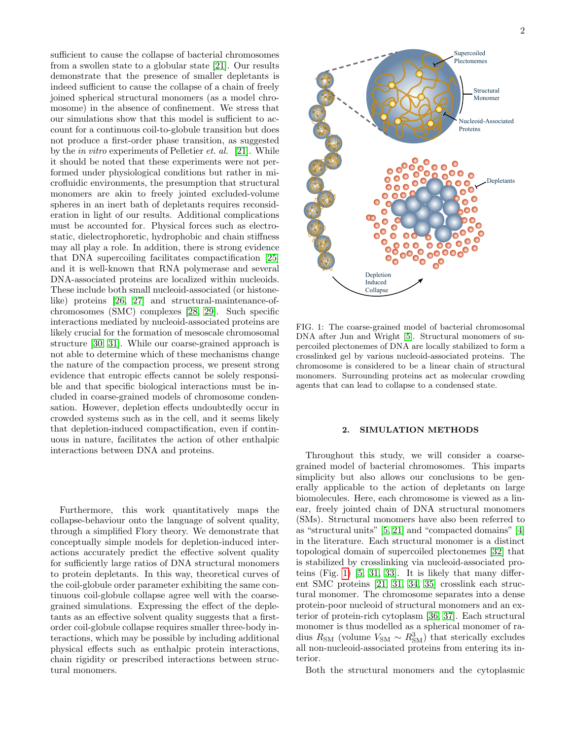sufficient to cause the collapse of bacterial chromosomes from a swollen state to a globular state [\[21\]](#page-9-10). Our results demonstrate that the presence of smaller depletants is indeed sufficient to cause the collapse of a chain of freely joined spherical structural monomers (as a model chromosome) in the absence of confinement. We stress that our simulations show that this model is sufficient to account for a continuous coil-to-globule transition but does not produce a first-order phase transition, as suggested by the in vitro experiments of Pelletier et. al. [\[21\]](#page-9-10). While it should be noted that these experiments were not performed under physiological conditions but rather in microfluidic environments, the presumption that structural monomers are akin to freely jointed excluded-volume spheres in an inert bath of depletants requires reconsideration in light of our results. Additional complications must be accounted for. Physical forces such as electrostatic, dielectrophoretic, hydrophobic and chain stiffness may all play a role. In addition, there is strong evidence that DNA supercoiling facilitates compactification [\[25\]](#page-9-14) and it is well-known that RNA polymerase and several DNA-associated proteins are localized within nucleoids. These include both small nucleoid-associated (or histonelike) proteins [\[26,](#page-9-15) [27\]](#page-9-16) and structural-maintenance-ofchromosomes (SMC) complexes [\[28,](#page-9-17) [29\]](#page-9-18). Such specific interactions mediated by nucleoid-associated proteins are likely crucial for the formation of mesoscale chromosomal structure [\[30,](#page-9-19) [31\]](#page-9-20). While our coarse-grained approach is not able to determine which of these mechanisms change the nature of the compaction process, we present strong evidence that entropic effects cannot be solely responsible and that specific biological interactions must be included in coarse-grained models of chromosome condensation. However, depletion effects undoubtedly occur in crowded systems such as in the cell, and it seems likely that depletion-induced compactification, even if continuous in nature, facilitates the action of other enthalpic interactions between DNA and proteins.

Furthermore, this work quantitatively maps the collapse-behaviour onto the language of solvent quality, through a simplified Flory theory. We demonstrate that conceptually simple models for depletion-induced interactions accurately predict the effective solvent quality for sufficiently large ratios of DNA structural monomers to protein depletants. In this way, theoretical curves of the coil-globule order parameter exhibiting the same continuous coil-globule collapse agree well with the coarsegrained simulations. Expressing the effect of the depletants as an effective solvent quality suggests that a firstorder coil-globule collapse requires smaller three-body interactions, which may be possible by including additional physical effects such as enthalpic protein interactions, chain rigidity or prescribed interactions between structural monomers.



<span id="page-1-0"></span>FIG. 1: The coarse-grained model of bacterial chromosomal DNA after Jun and Wright [\[5\]](#page-9-21). Structural monomers of supercoiled plectonemes of DNA are locally stabilized to form a crosslinked gel by various nucleoid-associated proteins. The chromosome is considered to be a linear chain of structural monomers. Surrounding proteins act as molecular crowding agents that can lead to collapse to a condensed state.

### 2. SIMULATION METHODS

Throughout this study, we will consider a coarsegrained model of bacterial chromosomes. This imparts simplicity but also allows our conclusions to be generally applicable to the action of depletants on large biomolecules. Here, each chromosome is viewed as a linear, freely jointed chain of DNA structural monomers (SMs). Structural monomers have also been referred to as "structural units" [\[5,](#page-9-21) [21\]](#page-9-10) and "compacted domains" [\[4\]](#page-9-22) in the literature. Each structural monomer is a distinct topological domain of supercoiled plectonemes [\[32\]](#page-9-23) that is stabilized by crosslinking via nucleoid-associated proteins (Fig. [1\)](#page-1-0) [\[5,](#page-9-21) [31,](#page-9-20) [33\]](#page-9-24). It is likely that many different SMC proteins [\[21,](#page-9-10) [31,](#page-9-20) [34,](#page-9-25) [35\]](#page-9-26) crosslink each structural monomer. The chromosome separates into a dense protein-poor nucleoid of structural monomers and an exterior of protein-rich cytoplasm [\[36,](#page-9-27) [37\]](#page-9-28). Each structural monomer is thus modelled as a spherical monomer of radius  $R_{\text{SM}}$  (volume  $V_{\text{SM}} \sim R_{\text{SM}}^3$ ) that sterically excludes all non-nucleoid-associated proteins from entering its interior.

Both the structural monomers and the cytoplasmic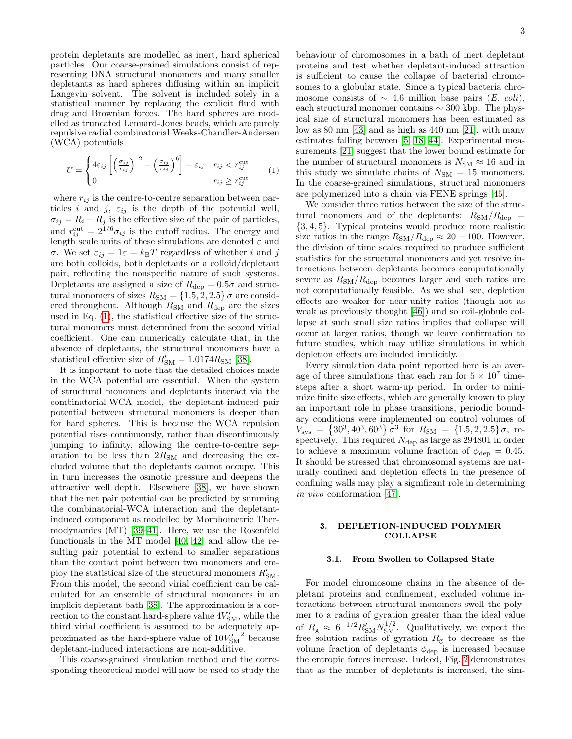protein depletants are modelled as inert, hard spherical particles. Our coarse-grained simulations consist of representing DNA structural monomers and many smaller depletants as hard spheres diffusing within an implicit Langevin solvent. The solvent is included solely in a statistical manner by replacing the explicit fluid with drag and Brownian forces. The hard spheres are modelled as truncated Lennard-Jones beads, which are purely repulsive radial combinatorial Weeks-Chandler-Andersen (WCA) potentials

$$
U = \begin{cases} 4\varepsilon_{ij} \left[ \left( \frac{\sigma_{ij}}{r_{ij}} \right)^{12} - \left( \frac{\sigma_{ij}}{r_{ij}} \right)^6 \right] + \varepsilon_{ij} & r_{ij} < r_{ij}^{\text{cut}} \\ 0 & r_{ij} \ge r_{ij}^{\text{cut}}, \end{cases}
$$
 (1)

where  $r_{ij}$  is the centre-to-centre separation between particles i and j,  $\varepsilon_{ij}$  is the depth of the potential well,  $\sigma_{ij} = R_i + R_j$  is the effective size of the pair of particles, and  $r_{ij}^{\text{cut}} = 2^{1/6} \sigma_{ij}$  is the cutoff radius. The energy and length scale units of these simulations are denoted  $\varepsilon$  and σ. We set  $\varepsilon_{ij} = 1\varepsilon = k_{\text{B}}T$  regardless of whether *i* and *j* are both colloids, both depletants or a colloid/depletant pair, reflecting the nonspecific nature of such systems. Depletants are assigned a size of  $R_{\text{dep}} = 0.5\sigma$  and structural monomers of sizes  $R_{SM} = \{1.5, 2, 2.5\} \sigma$  are considered throughout. Although  $R_{\rm SM}$  and  $R_{\rm dep}$  are the sizes used in Eq. [\(1\)](#page-2-0), the statistical effective size of the structural monomers must determined from the second virial coefficient. One can numerically calculate that, in the absence of depletants, the structural monomers have a statistical effective size of  $R'_{\rm SM} = 1.0174 R_{\rm SM}$  [\[38\]](#page-9-29).

It is important to note that the detailed choices made in the WCA potential are essential. When the system of structural monomers and depletants interact via the combinatorial-WCA model, the depletant-induced pair potential between structural monomers is deeper than for hard spheres. This is because the WCA repulsion potential rises continuously, rather than discontinuously jumping to infinity, allowing the centre-to-centre separation to be less than  $2R_{SM}$  and decreasing the excluded volume that the depletants cannot occupy. This in turn increases the osmotic pressure and deepens the attractive well depth. Elsewhere [\[38\]](#page-9-29), we have shown that the net pair potential can be predicted by summing the combinatorial-WCA interaction and the depletantinduced component as modelled by Morphometric Thermodynamics (MT) [\[39–](#page-9-30)[41\]](#page-10-0). Here, we use the Rosenfeld functionals in the MT model [\[40,](#page-10-1) [42\]](#page-10-2) and allow the resulting pair potential to extend to smaller separations than the contact point between two monomers and employ the statistical size of the structural monomers  $R'_{\rm SM}$ . From this model, the second virial coefficient can be calculated for an ensemble of structural monomers in an implicit depletant bath [\[38\]](#page-9-29). The approximation is a correction to the constant hard-sphere value  $4V'_{\text{SM}}$ , while the third virial coefficient is assumed to be adequately approximated as the hard-sphere value of  $10V'^{2}_{SM}$  because depletant-induced interactions are non-additive.

This coarse-grained simulation method and the corresponding theoretical model will now be used to study the behaviour of chromosomes in a bath of inert depletant proteins and test whether depletant-induced attraction is sufficient to cause the collapse of bacterial chromosomes to a globular state. Since a typical bacteria chromosome consists of  $\sim$  4.6 million base pairs (E. coli), each structural monomer contains  $\sim$  300 kbp. The physical size of structural monomers has been estimated as low as 80 nm [\[43\]](#page-10-3) and as high as 440 nm [\[21\]](#page-9-10), with many estimates falling between [\[5,](#page-9-21) [18,](#page-9-8) [44\]](#page-10-4). Experimental measurements [\[21\]](#page-9-10) suggest that the lower bound estimate for the number of structural monomers is  $N_{\rm SM} \approx 16$  and in this study we simulate chains of  $N_{\rm SM}$  = 15 monomers. In the coarse-grained simulations, structural monomers are polymerized into a chain via FENE springs [\[45\]](#page-10-5).

<span id="page-2-0"></span>We consider three ratios between the size of the structural monomers and of the depletants:  $R_{\rm SM}/R_{\rm dep}$  = {3, 4, 5}. Typical proteins would produce more realistic size ratios in the range  $R_{\rm SM}/R_{\rm dep} \approx 20 - 100$ . However, the division of time scales required to produce sufficient statistics for the structural monomers and yet resolve interactions between depletants becomes computationally severe as  $R_{\rm SM}/R_{\rm dep}$  becomes larger and such ratios are not computationally feasible. As we shall see, depletion effects are weaker for near-unity ratios (though not as weak as previously thought [\[46\]](#page-10-6)) and so coil-globule collapse at such small size ratios implies that collapse will occur at larger ratios, though we leave confirmation to future studies, which may utilize simulations in which depletion effects are included implicitly.

Every simulation data point reported here is an average of three simulations that each ran for  $5 \times 10^7$  timesteps after a short warm-up period. In order to minimize finite size effects, which are generally known to play an important role in phase transitions, periodic boundary conditions were implemented on control volumes of  $V_{\rm sys} = \{30^3, 40^3, 60^3\} \sigma^3$  for  $R_{\rm SM} = \{1.5, 2, 2.5\} \sigma$ , respectively. This required  $N_{\text{dep}}$  as large as 294801 in order to achieve a maximum volume fraction of  $\phi_{\text{dep}} = 0.45$ . It should be stressed that chromosomal systems are naturally confined and depletion effects in the presence of confining walls may play a significant role in determining in vivo conformation [\[47\]](#page-10-7).

#### 3. DEPLETION-INDUCED POLYMER COLLAPSE

### 3.1. From Swollen to Collapsed State

For model chromosome chains in the absence of depletant proteins and confinement, excluded volume interactions between structural monomers swell the polymer to a radius of gyration greater than the ideal value of  $R_{\rm g} \approx 6^{-1/2} R'_{\rm SM} N_{\rm SM}^{1/2}$ . Qualitatively, we expect the free solution radius of gyration  $R_{\rm g}$  to decrease as the volume fraction of depletants  $\phi_{\text{dep}}$  is increased because the entropic forces increase. Indeed, Fig. [2](#page-3-0) demonstrates that as the number of depletants is increased, the sim-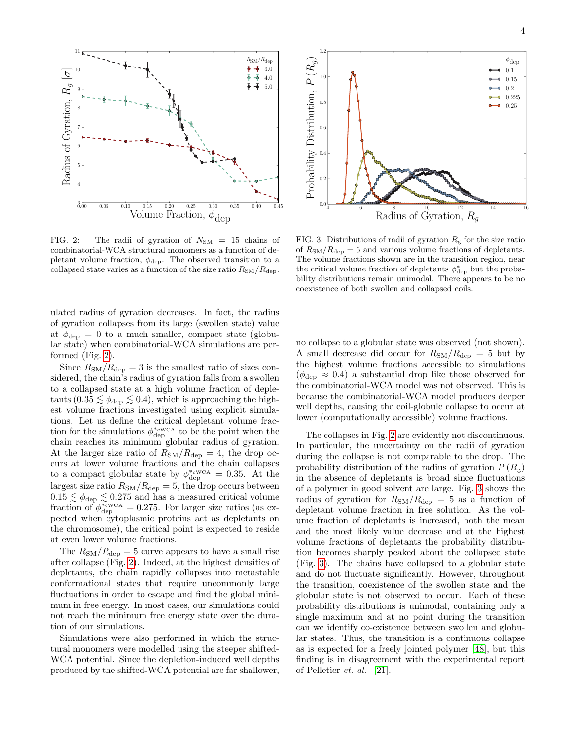

<span id="page-3-0"></span>FIG. 2: The radii of gyration of  $N_{SM} = 15$  chains of combinatorial-WCA structural monomers as a function of depletant volume fraction,  $\phi_{\text{dep}}$ . The observed transition to a collapsed state varies as a function of the size ratio  $R_{\rm SM}/R_{\rm dep}$ .

ulated radius of gyration decreases. In fact, the radius of gyration collapses from its large (swollen state) value at  $\phi_{\text{dep}} = 0$  to a much smaller, compact state (globular state) when combinatorial-WCA simulations are performed (Fig. [2\)](#page-3-0).

Since  $R_{\rm SM}/R_{\rm dep} = 3$  is the smallest ratio of sizes considered, the chain's radius of gyration falls from a swollen to a collapsed state at a high volume fraction of depletants  $(0.35 \lesssim \phi_{\text{dep}} \lesssim 0.4)$ , which is approaching the highest volume fractions investigated using explicit simulations. Let us define the critical depletant volume fraction for the simulations  $\phi_{\text{dep}}^{*_{\text{cWCA}}}$  to be the point when the chain reaches its minimum globular radius of gyration. At the larger size ratio of  $R_{\rm SM}/R_{\rm dep} = 4$ , the drop occurs at lower volume fractions and the chain collapses to a compact globular state by  $\phi_{\text{dep}}^{*_{\text{cWCA}}} = 0.35$ . At the largest size ratio  $R_{SM}/R_{\text{dep}} = 5$ , the drop occurs between  $0.15 \lesssim \phi_{\text{dep}} \lesssim 0.275$  and has a measured critical volume fraction of  $\phi_{\text{dep}}^{*_{\text{eWCA}}} = 0.275$ . For larger size ratios (as expected when cytoplasmic proteins act as depletants on the chromosome), the critical point is expected to reside at even lower volume fractions.

The  $R_{\rm SM}/R_{\rm dep} = 5$  curve appears to have a small rise after collapse (Fig. [2\)](#page-3-0). Indeed, at the highest densities of depletants, the chain rapidly collapses into metastable conformational states that require uncommonly large fluctuations in order to escape and find the global minimum in free energy. In most cases, our simulations could not reach the minimum free energy state over the duration of our simulations.

Simulations were also performed in which the structural monomers were modelled using the steeper shifted-WCA potential. Since the depletion-induced well depths produced by the shifted-WCA potential are far shallower,



<span id="page-3-1"></span>FIG. 3: Distributions of radii of gyration  $R_{\rm g}$  for the size ratio of  $R_{\rm SM}/R_{\rm dep} = 5$  and various volume fractions of depletants. The volume fractions shown are in the transition region, near the critical volume fraction of depletants  $\phi_{\text{dep}}^{*}$  but the probability distributions remain unimodal. There appears to be no coexistence of both swollen and collapsed coils.

no collapse to a globular state was observed (not shown). A small decrease did occur for  $R_{\rm SM}/R_{\rm dep} = 5$  but by the highest volume fractions accessible to simulations  $(\phi_{\text{dep}} \approx 0.4)$  a substantial drop like those observed for the combinatorial-WCA model was not observed. This is because the combinatorial-WCA model produces deeper well depths, causing the coil-globule collapse to occur at lower (computationally accessible) volume fractions.

The collapses in Fig. [2](#page-3-0) are evidently not discontinuous. In particular, the uncertainty on the radii of gyration during the collapse is not comparable to the drop. The probability distribution of the radius of gyration  $P(R_{\varphi})$ in the absence of depletants is broad since fluctuations of a polymer in good solvent are large. Fig. [3](#page-3-1) shows the radius of gyration for  $R_{\rm SM}/R_{\rm dep} = 5$  as a function of depletant volume fraction in free solution. As the volume fraction of depletants is increased, both the mean and the most likely value decrease and at the highest volume fractions of depletants the probability distribution becomes sharply peaked about the collapsed state (Fig. [3\)](#page-3-1). The chains have collapsed to a globular state and do not fluctuate significantly. However, throughout the transition, coexistence of the swollen state and the globular state is not observed to occur. Each of these probability distributions is unimodal, containing only a single maximum and at no point during the transition can we identify co-existence between swollen and globular states. Thus, the transition is a continuous collapse as is expected for a freely jointed polymer [\[48\]](#page-10-8), but this finding is in disagreement with the experimental report of Pelletier et. al. [\[21\]](#page-9-10).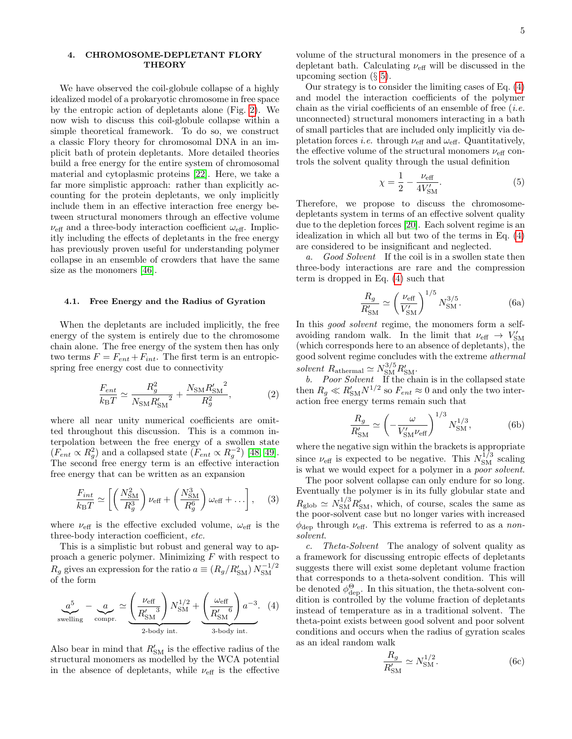### 4. CHROMOSOME-DEPLETANT FLORY **THEORY**

We have observed the coil-globule collapse of a highly idealized model of a prokaryotic chromosome in free space by the entropic action of depletants alone (Fig. [2\)](#page-3-0). We now wish to discuss this coil-globule collapse within a simple theoretical framework. To do so, we construct a classic Flory theory for chromosomal DNA in an implicit bath of protein depletants. More detailed theories build a free energy for the entire system of chromosomal material and cytoplasmic proteins [\[22\]](#page-9-11). Here, we take a far more simplistic approach: rather than explicitly accounting for the protein depletants, we only implicitly include them in an effective interaction free energy between structural monomers through an effective volume  $\nu_{\text{eff}}$  and a three-body interaction coefficient  $\omega_{\text{eff}}$ . Implicitly including the effects of depletants in the free energy has previously proven useful for understanding polymer collapse in an ensemble of crowders that have the same size as the monomers [\[46\]](#page-10-6).

#### 4.1. Free Energy and the Radius of Gyration

When the depletants are included implicitly, the free energy of the system is entirely due to the chromosome chain alone. The free energy of the system then has only two terms  $F = F_{ent} + F_{int}$ . The first term is an entropicspring free energy cost due to connectivity

$$
\frac{F_{ent}}{k_{\rm B}T} \simeq \frac{R_g^2}{N_{\rm SM}R'_{\rm SM}}^2 + \frac{N_{\rm SM}R'_{\rm SM}^2}{R_g^2},\tag{2}
$$

where all near unity numerical coefficients are omitted throughout this discussion. This is a common interpolation between the free energy of a swollen state  $(F_{ent} \propto R_g^2)$  and a collapsed state  $(F_{ent} \propto R_g^{-2})$  [\[48,](#page-10-8) [49\]](#page-10-9). The second free energy term is an effective interaction free energy that can be written as an expansion

$$
\frac{F_{int}}{k_{\rm B}T} \simeq \left[ \left( \frac{N_{\rm SM}^2}{R_g^3} \right) \nu_{\rm eff} + \left( \frac{N_{\rm SM}^3}{R_g^6} \right) \omega_{\rm eff} + \ldots \right], \quad (3)
$$

where  $\nu_{\text{eff}}$  is the effective excluded volume,  $\omega_{\text{eff}}$  is the three-body interaction coefficient, etc.

This is a simplistic but robust and general way to approach a generic polymer. Minimizing  $F$  with respect to  $R_g$  gives an expression for the ratio  $a \equiv (R_g/R'_{{\rm SM}}) N_{{\rm SM}}^{-1/2}$ SM of the form

$$
\underbrace{a^5}_{\text{swelling}} - \underbrace{a}_{\text{compr.}} \simeq \underbrace{\left(\frac{\nu_{\text{eff}}}{R'_{\text{SM}}}\right) N_{\text{SM}}^{1/2}}_{\text{2-body int.}} + \underbrace{\left(\frac{\omega_{\text{eff}}}{R'_{\text{SM}}}\right) a^{-3}}_{\text{3-body int.}} \quad (4)
$$

Also bear in mind that  $R'_{\rm SM}$  is the effective radius of the structural monomers as modelled by the WCA potential in the absence of depletants, while  $\nu_{\text{eff}}$  is the effective volume of the structural monomers in the presence of a depletant bath. Calculating  $\nu_{\text{eff}}$  will be discussed in the upcoming section  $(\S 5)$  $(\S 5)$ .

Our strategy is to consider the limiting cases of Eq. [\(4\)](#page-4-0) and model the interaction coefficients of the polymer chain as the virial coefficients of an ensemble of free  $(i.e.$ unconnected) structural monomers interacting in a bath of small particles that are included only implicitly via depletation forces *i.e.* through  $\nu_{\text{eff}}$  and  $\omega_{\text{eff}}$ . Quantitatively, the effective volume of the structural monomers  $\nu_{\text{eff}}$  controls the solvent quality through the usual definition

<span id="page-4-1"></span>
$$
\chi = \frac{1}{2} - \frac{\nu_{\text{eff}}}{4V'_{\text{SM}}}.
$$
 (5)

Therefore, we propose to discuss the chromosomedepletants system in terms of an effective solvent quality due to the depletion forces [\[20\]](#page-9-9). Each solvent regime is an idealization in which all but two of the terms in Eq. [\(4\)](#page-4-0) are considered to be insignificant and neglected.

a. Good Solvent If the coil is in a swollen state then three-body interactions are rare and the compression term is dropped in Eq. [\(4\)](#page-4-0) such that

$$
\frac{R_g}{R'_{\rm SM}} \simeq \left(\frac{\nu_{\rm eff}}{V'_{\rm SM}}\right)^{1/5} N_{\rm SM}^{3/5}.
$$
 (6a)

In this *good solvent* regime, the monomers form a selfavoiding random walk. In the limit that  $\nu_{\text{eff}} \rightarrow V_{\text{SM}}'$ (which corresponds here to an absence of depletants), the good solvent regime concludes with the extreme athermal solvent  $R_{\text{athermal}} \simeq N_{\text{SM}}^{3/5} R_{\text{SM}}'$ .

b. Poor Solvent If the chain is in the collapsed state then  $R_g \ll R'_{\rm SM} N^{1/2}$  so  $F_{ent} \approx 0$  and only the two interaction free energy terms remain such that

$$
\frac{R_g}{R'_{\rm SM}} \simeq \left( -\frac{\omega}{V'_{\rm SM} \nu_{\rm eff}} \right)^{1/3} N_{\rm SM}^{1/3},\tag{6b}
$$

where the negative sign within the brackets is appropriate since  $\nu_{\text{eff}}$  is expected to be negative. This  $N_{\text{SM}}^{1/3}$  scaling is what we would expect for a polymer in a poor solvent.

The poor solvent collapse can only endure for so long. Eventually the polymer is in its fully globular state and  $R_{\text{glob}} \simeq N_{\text{SM}}^{1/3} R'_{\text{SM}}$ , which, of course, scales the same as the poor-solvent case but no longer varies with increased  $\phi_{\text{dep}}$  through  $\nu_{\text{eff}}$ . This extrema is referred to as a nonsolvent.

<span id="page-4-0"></span>c. Theta-Solvent The analogy of solvent quality as a framework for discussing entropic effects of depletants suggests there will exist some depletant volume fraction that corresponds to a theta-solvent condition. This will be denoted  $\phi_{\text{dep}}^{\Theta}$ . In this situation, the theta-solvent condition is controlled by the volume fraction of depletants instead of temperature as in a traditional solvent. The theta-point exists between good solvent and poor solvent conditions and occurs when the radius of gyration scales as an ideal random walk

$$
\frac{R_g}{R'_{\rm SM}} \simeq N_{\rm SM}^{1/2}.\tag{6c}
$$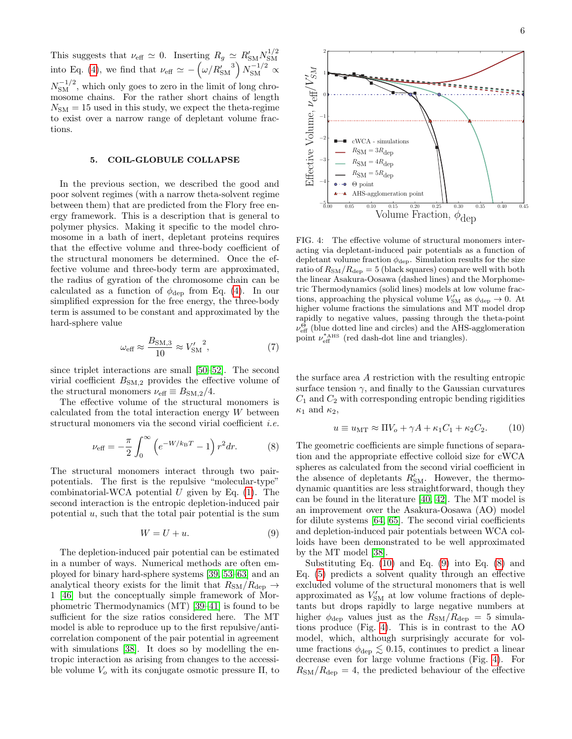This suggests that  $\nu_{\text{eff}} \simeq 0$ . Inserting  $R_g \simeq R'_{\text{SM}} N_{\text{SM}}^{1/2}$ SM into Eq. [\(4\)](#page-4-0), we find that  $\nu_{\text{eff}} \simeq -(\omega/R'_{\text{SM}}^3) N_{\text{SM}}^{-1/2} \propto$  $N_{\rm SM}^{-1/2}$ , which only goes to zero in the limit of long chromosome chains. For the rather short chains of length  $N_{\rm SM} = 15$  used in this study, we expect the theta-regime to exist over a narrow range of depletant volume fractions.

### <span id="page-5-0"></span>5. COIL-GLOBULE COLLAPSE

In the previous section, we described the good and poor solvent regimes (with a narrow theta-solvent regime between them) that are predicted from the Flory free energy framework. This is a description that is general to polymer physics. Making it specific to the model chromosome in a bath of inert, depletant proteins requires that the effective volume and three-body coefficient of the structural monomers be determined. Once the effective volume and three-body term are approximated, the radius of gyration of the chromosome chain can be calculated as a function of  $\phi_{\text{dep}}$  from Eq. [\(4\)](#page-4-0). In our simplified expression for the free energy, the three-body term is assumed to be constant and approximated by the hard-sphere value

$$
\omega_{\text{eff}} \approx \frac{B_{\text{SM},3}}{10} \approx V_{\text{SM}}^{\prime 2},\tag{7}
$$

since triplet interactions are small [\[50–](#page-10-10)[52\]](#page-10-11). The second virial coefficient  $B_{\text{SM},2}$  provides the effective volume of the structural monomers  $\nu_{\text{eff}} \equiv B_{\text{SM},2}/4$ .

The effective volume of the structural monomers is calculated from the total interaction energy W between structural monomers via the second virial coefficient *i.e.* 

$$
\nu_{\text{eff}} = -\frac{\pi}{2} \int_0^\infty \left( e^{-W/k_{\text{B}}T} - 1 \right) r^2 dr. \tag{8}
$$

The structural monomers interact through two pairpotentials. The first is the repulsive "molecular-type" combinatorial-WCA potential  $U$  given by Eq. [\(1\)](#page-2-0). The second interaction is the entropic depletion-induced pair potential  $u$ , such that the total pair potential is the sum

$$
W = U + u.\t\t(9)
$$

The depletion-induced pair potential can be estimated in a number of ways. Numerical methods are often employed for binary hard-sphere systems [\[39,](#page-9-30) [53–](#page-10-12)[63\]](#page-10-13) and an analytical theory exists for the limit that  $R_{\rm SM}/R_{\rm dep} \rightarrow$ 1 [\[46\]](#page-10-6) but the conceptually simple framework of Morphometric Thermodynamics (MT) [\[39–](#page-9-30)[41\]](#page-10-0) is found to be sufficient for the size ratios considered here. The MT model is able to reproduce up to the first repulsive/anticorrelation component of the pair potential in agreement with simulations [\[38\]](#page-9-29). It does so by modelling the entropic interaction as arising from changes to the accessible volume  $V<sub>o</sub>$  with its conjugate osmotic pressure  $\Pi$ , to

<span id="page-5-4"></span>−4 Θ point AHS-agglomeration point ШÀ. −5 L  $\begin{array}{ccc} 0.00 & 0.05 & 0.10 & 0.15 & 0.20 & 0.25 & 0.30 & 0.35 & 0.40 & 0.45 \ \text{Volume Fraction}, \ \phi_{\text{dep}} \end{array}$ FIG. 4: The effective volume of structural monomers interacting via depletant-induced pair potentials as a function of depletant volume fraction  $\phi_{\text{dep}}$ . Simulation results for the size ratio of  $R_{\rm SM}/R_{\rm dep} = 5$  (black squares) compare well with both the linear Asakura-Oosawa (dashed lines) and the Morphometric Thermodynamics (solid lines) models at low volume fractions, approaching the physical volume  $V'_{SM}$  as  $\phi_{\text{dep}} \rightarrow 0$ . At higher volume fractions the simulations and MT model drop rapidly to negative values, passing through the theta-point  $\nu_{\text{eff}}^{\Theta}$  (blue dotted line and circles) and the AHS-agglomeration

the surface area A restriction with the resulting entropic surface tension  $\gamma$ , and finally to the Gaussian curvatures  $C_1$  and  $C_2$  with corresponding entropic bending rigidities  $\kappa_1$  and  $\kappa_2$ ,

point  $\nu_{\text{eff}}^{*_{\text{AHS}}}$  (red dash-dot line and triangles).

<span id="page-5-1"></span>
$$
u \equiv u_{\rm MT} \approx \Pi V_o + \gamma A + \kappa_1 C_1 + \kappa_2 C_2. \tag{10}
$$

<span id="page-5-3"></span>The geometric coefficients are simple functions of separation and the appropriate effective colloid size for cWCA spheres as calculated from the second virial coefficient in the absence of depletants  $R'_{\text{SM}}$ . However, the thermodynamic quantities are less straightforward, though they can be found in the literature [\[40,](#page-10-1) [42\]](#page-10-2). The MT model is an improvement over the Asakura-Oosawa (AO) model for dilute systems [\[64,](#page-10-14) [65\]](#page-10-15). The second virial coefficients and depletion-induced pair potentials between WCA colloids have been demonstrated to be well approximated by the MT model [\[38\]](#page-9-29).

<span id="page-5-2"></span>Substituting Eq.  $(10)$  and Eq.  $(9)$  into Eq.  $(8)$  and Eq. [\(5\)](#page-4-1) predicts a solvent quality through an effective excluded volume of the structural monomers that is well approximated as  $V'_{\rm SM}$  at low volume fractions of depletants but drops rapidly to large negative numbers at higher  $\phi_{\text{dep}}$  values just as the  $R_{\text{SM}}/R_{\text{dep}} = 5$  simulations produce (Fig. [4\)](#page-5-4). This is in contrast to the AO model, which, although surprisingly accurate for volume fractions  $\phi_{\text{dep}} \lesssim 0.15$ , continues to predict a linear decrease even for large volume fractions (Fig. [4\)](#page-5-4). For  $R_{\rm SM}/R_{\rm dep} = 4$ , the predicted behaviour of the effective

6



 $^{2}$ r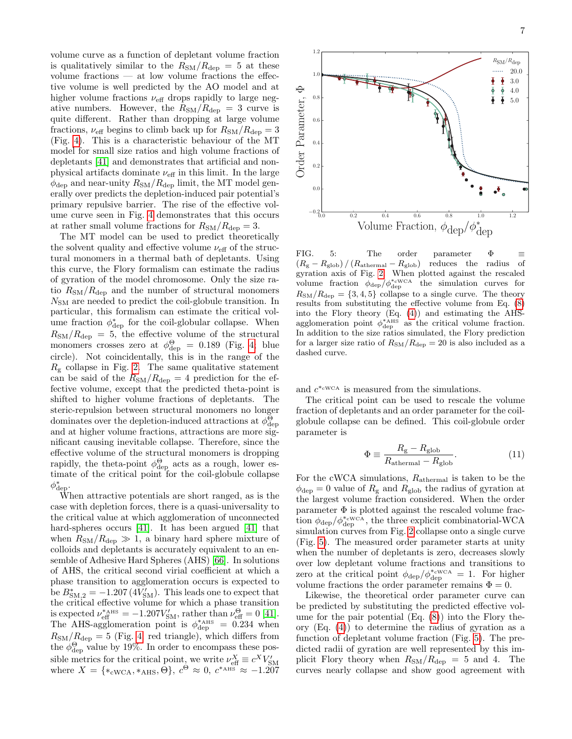volume curve as a function of depletant volume fraction is qualitatively similar to the  $R_{\rm SM}/R_{\rm dep} = 5$  at these volume fractions — at low volume fractions the effective volume is well predicted by the AO model and at higher volume fractions  $\nu_{\text{eff}}$  drops rapidly to large negative numbers. However, the  $R_{\rm SM}/R_{\rm dep} = 3$  curve is quite different. Rather than dropping at large volume fractions,  $\nu_{\text{eff}}$  begins to climb back up for  $R_{\text{SM}}/R_{\text{dep}} = 3$ (Fig. [4\)](#page-5-4). This is a characteristic behaviour of the MT model for small size ratios and high volume fractions of depletants [\[41\]](#page-10-0) and demonstrates that artificial and nonphysical artifacts dominate  $\nu_\text{eff}$  in this limit. In the large  $\phi_{\text{dep}}$  and near-unity  $R_{\text{SM}}/R_{\text{dep}}$  limit, the MT model generally over predicts the depletion-induced pair potential's primary repulsive barrier. The rise of the effective volume curve seen in Fig. [4](#page-5-4) demonstrates that this occurs at rather small volume fractions for  $R_{\rm SM}/R_{\rm dep} = 3$ .

The MT model can be used to predict theoretically the solvent quality and effective volume  $\nu_{\text{eff}}$  of the structural monomers in a thermal bath of depletants. Using this curve, the Flory formalism can estimate the radius of gyration of the model chromosome. Only the size ratio  $R_{\rm SM}/R_{\rm dep}$  and the number of structural monomers  $N_{\text{SM}}$  are needed to predict the coil-globule transition. In particular, this formalism can estimate the critical volume fraction  $\phi_{\text{dep}}^*$  for the coil-globular collapse. When  $R_{\rm SM}/R_{\rm dep} = 5$ , the effective volume of the structural monomers crosses zero at  $\phi_{\text{dep}}^{\Theta} = 0.189$  (Fig. [4;](#page-5-4) blue circle). Not coincidentally, this is in the range of the  $R<sub>g</sub>$  collapse in Fig. [2.](#page-3-0) The same qualitative statement can be said of the  $R_{\rm SM}/R_{\rm dep}$  = 4 prediction for the effective volume, except that the predicted theta-point is shifted to higher volume fractions of depletants. The steric-repulsion between structural monomers no longer dominates over the depletion-induced attractions at  $\phi_{\text{dep}}^{\Theta}$ and at higher volume fractions, attractions are more significant causing inevitable collapse. Therefore, since the effective volume of the structural monomers is dropping rapidly, the theta-point  $\phi_{\text{dep}}^{\Theta}$  acts as a rough, lower estimate of the critical point for the coil-globule collapse  $\phi_{\text{dep}}^*$ .

When attractive potentials are short ranged, as is the case with depletion forces, there is a quasi-universality to the critical value at which agglomeration of unconnected hard-spheres occurs [\[41\]](#page-10-0). It has been argued [\[41\]](#page-10-0) that when  $R_{\rm SM}/R_{\rm dep} \gg 1$ , a binary hard sphere mixture of colloids and depletants is accurately equivalent to an ensemble of Adhesive Hard Spheres (AHS) [\[66\]](#page-10-16). In solutions of AHS, the critical second virial coefficient at which a phase transition to agglomeration occurs is expected to be  $B_{\rm SM,2}^* = -1.207\,(4V_{\rm SM}^{\prime})$ . This leads one to expect that the critical effective volume for which a phase transition is expected  $\nu_{\text{eff}}^{*_{\text{AHS}}} = -1.207 V_{\text{SM}}'$ , rather than  $\nu_{\text{eff}}^{\Theta} = 0$  [\[41\]](#page-10-0). The AHS-agglomeration point is  $\phi_{\text{dep}}^{*_{\text{AHS}}} = 0.234$  when  $R_{\rm SM}/R_{\rm dep} = 5$  (Fig. [4;](#page-5-4) red triangle), which differs from the  $\phi_{\text{dep}}^{\Theta}$  value by 19%. In order to encompass these possible metrics for the critical point, we write  $\nu_{\text{eff}}^X \equiv c^X V_{\text{SM}}'$ <br>where  $X = \{*_\text{cWCA}, *_\text{AHS}, \Theta\}, c^\Theta \approx 0, c^{*_\text{AHS}} \approx -1.207$ 



<span id="page-6-0"></span>FIG. 5: The order parameter  $\Phi$   $\equiv$  $(R_{\rm g} - R_{\rm glob}) / (R_{\rm athermal} - R_{\rm glob})$  reduces the radius of gyration axis of Fig. [2.](#page-3-0) When plotted against the rescaled volume fraction  $\phi_{\text{dep}}/\phi_{\text{dep}}^{*_{\text{cWCA}}}$  the simulation curves for  $R_{\rm SM}/R_{\rm dep} = \{3, 4, 5\}$  collapse to a single curve. The theory results from substituting the effective volume from Eq. [\(8\)](#page-5-3) into the Flory theory (Eq. [\(4\)](#page-4-0)) and estimating the AHSagglomeration point  $\phi_{\text{dep}}^{*\text{AHS}}$  as the critical volume fraction. In addition to the size ratios simulated, the Flory prediction for a larger size ratio of  $R_{\rm SM}/R_{\rm dep} = 20$  is also included as a dashed curve.

and  $c^{*_{\text{cWCA}}}$  is measured from the simulations.

The critical point can be used to rescale the volume fraction of depletants and an order parameter for the coilglobule collapse can be defined. This coil-globule order parameter is

$$
\Phi \equiv \frac{R_{\rm g} - R_{\rm glob}}{R_{\rm athermal} - R_{\rm glob}}.\tag{11}
$$

For the cWCA simulations, Rathermal is taken to be the  $\phi_{\text{dep}} = 0$  value of  $R_{\text{g}}$  and  $R_{\text{glob}}$  the radius of gyration at the largest volume fraction considered. When the order parameter  $\Phi$  is plotted against the rescaled volume fraction  $\phi_{\text{dep}}/\phi_{\text{dep}}^{*\text{cwcA}}$ , the three explicit combinatorial-WCA simulation curves from Fig. [2](#page-3-0) collapse onto a single curve (Fig. [5\)](#page-6-0). The measured order parameter starts at unity when the number of depletants is zero, decreases slowly over low depletant volume fractions and transitions to zero at the critical point  $\phi_{\text{dep}}/\phi_{\text{dep}}^{*_{\text{cWCA}}} = 1$ . For higher volume fractions the order parameter remains  $\Phi = 0$ .

Likewise, the theoretical order parameter curve can be predicted by substituting the predicted effective volume for the pair potential  $(Eq. (8))$  $(Eq. (8))$  $(Eq. (8))$  into the Flory theory (Eq. [\(4\)](#page-4-0)) to determine the radius of gyration as a function of depletant volume fraction (Fig. [5\)](#page-6-0). The predicted radii of gyration are well represented by this implicit Flory theory when  $R_{\rm SM}/R_{\rm dep} = 5$  and 4. The curves nearly collapse and show good agreement with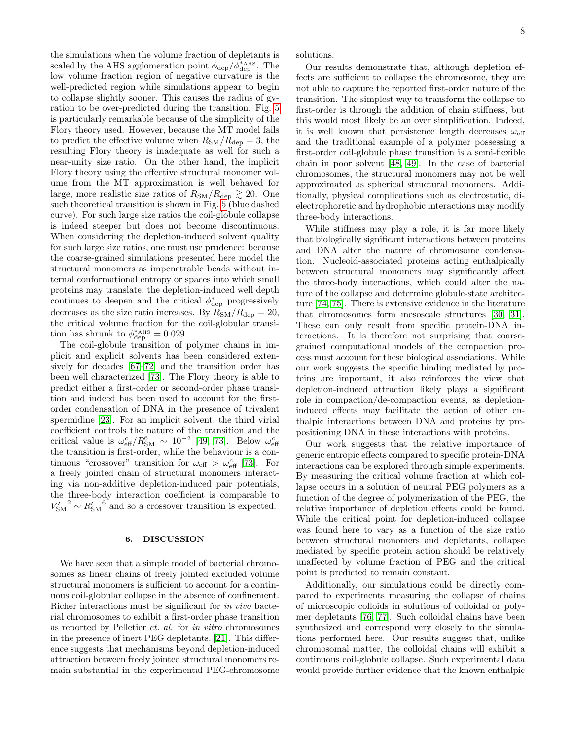the simulations when the volume fraction of depletants is scaled by the AHS agglomeration point  $\phi_{\rm dep}/\dot{\phi}_{\rm dep}^{*_{\rm AHS}}$ . The low volume fraction region of negative curvature is the well-predicted region while simulations appear to begin to collapse slightly sooner. This causes the radius of gyration to be over-predicted during the transition. Fig. [5](#page-6-0) is particularly remarkable because of the simplicity of the Flory theory used. However, because the MT model fails to predict the effective volume when  $R_{\rm SM}/R_{\rm dep} = 3$ , the resulting Flory theory is inadequate as well for such a near-unity size ratio. On the other hand, the implicit Flory theory using the effective structural monomer volume from the MT approximation is well behaved for large, more realistic size ratios of  $R_{SM}/R_{\text{dep}} \gtrsim 20$ . One such theoretical transition is shown in Fig. [5](#page-6-0) (blue dashed curve). For such large size ratios the coil-globule collapse is indeed steeper but does not become discontinuous. When considering the depletion-induced solvent quality for such large size ratios, one must use prudence: because the coarse-grained simulations presented here model the structural monomers as impenetrable beads without internal conformational entropy or spaces into which small proteins may translate, the depletion-induced well depth continues to deepen and the critical  $\phi_{\text{dep}}^{*}$  progressively decreases as the size ratio increases. By  $R_{\rm SM}/R_{\rm dep} = 20$ , the critical volume fraction for the coil-globular transition has shrunk to  $\phi_{\text{dep}}^{*_{\text{AHS}}} = 0.029$ .

The coil-globule transition of polymer chains in implicit and explicit solvents has been considered extensively for decades [\[67–](#page-10-17)[72\]](#page-10-18) and the transition order has been well characterized [\[73\]](#page-10-19). The Flory theory is able to predict either a first-order or second-order phase transition and indeed has been used to account for the firstorder condensation of DNA in the presence of trivalent spermidine [\[23\]](#page-9-12). For an implicit solvent, the third virial coefficient controls the nature of the transition and the critical value is  $\omega_{\text{eff}}^c/R_{\text{SM}}^6 \sim 10^{-2}$  [\[49,](#page-10-9) [73\]](#page-10-19). Below  $\omega_{\text{eff}}^c$ <br>the transition is first-order, while the behaviour is a continuous "crossover" transition for  $\omega_{\text{eff}} > \omega_{\text{eff}}^c$  [\[73\]](#page-10-19). For a freely jointed chain of structural monomers interacting via non-additive depletion-induced pair potentials, the three-body interaction coefficient is comparable to  $V'_{\rm SM}^2 \sim R'_{\rm SM}^6$  and so a crossover transition is expected.

#### 6. DISCUSSION

We have seen that a simple model of bacterial chromosomes as linear chains of freely jointed excluded volume structural monomers is sufficient to account for a continuous coil-globular collapse in the absence of confinement. Richer interactions must be significant for in vivo bacterial chromosomes to exhibit a first-order phase transition as reported by Pelletier et. al. for in vitro chromosomes in the presence of inert PEG depletants. [\[21\]](#page-9-10). This difference suggests that mechanisms beyond depletion-induced attraction between freely jointed structural monomers remain substantial in the experimental PEG-chromosome solutions.

Our results demonstrate that, although depletion effects are sufficient to collapse the chromosome, they are not able to capture the reported first-order nature of the transition. The simplest way to transform the collapse to first-order is through the addition of chain stiffness, but this would most likely be an over simplification. Indeed, it is well known that persistence length decreases  $\omega_{\text{eff}}$ and the traditional example of a polymer possessing a first-order coil-globule phase transition is a semi-flexible chain in poor solvent [\[48,](#page-10-8) [49\]](#page-10-9). In the case of bacterial chromosomes, the structural monomers may not be well approximated as spherical structural monomers. Additionally, physical complications such as electrostatic, dielectrophoretic and hydrophobic interactions may modify three-body interactions.

While stiffness may play a role, it is far more likely that biologically significant interactions between proteins and DNA alter the nature of chromosome condensation. Nucleoid-associated proteins acting enthalpically between structural monomers may significantly affect the three-body interactions, which could alter the nature of the collapse and determine globule-state architecture [\[74,](#page-10-20) [75\]](#page-10-21). There is extensive evidence in the literature that chromosomes form mesoscale structures [\[30,](#page-9-19) [31\]](#page-9-20). These can only result from specific protein-DNA interactions. It is therefore not surprising that coarsegrained computational models of the compaction process must account for these biological associations. While our work suggests the specific binding mediated by proteins are important, it also reinforces the view that depletion-induced attraction likely plays a significant role in compaction/de-compaction events, as depletioninduced effects may facilitate the action of other enthalpic interactions between DNA and proteins by prepositioning DNA in these interactions with proteins.

Our work suggests that the relative importance of generic entropic effects compared to specific protein-DNA interactions can be explored through simple experiments. By measuring the critical volume fraction at which collapse occurs in a solution of neutral PEG polymers as a function of the degree of polymerization of the PEG, the relative importance of depletion effects could be found. While the critical point for depletion-induced collapse was found here to vary as a function of the size ratio between structural monomers and depletants, collapse mediated by specific protein action should be relatively unaffected by volume fraction of PEG and the critical point is predicted to remain constant.

Additionally, our simulations could be directly compared to experiments measuring the collapse of chains of microscopic colloids in solutions of colloidal or polymer depletants [\[76,](#page-10-22) [77\]](#page-11-0). Such colloidal chains have been synthesized and correspond very closely to the simulations performed here. Our results suggest that, unlike chromosomal matter, the colloidal chains will exhibit a continuous coil-globule collapse. Such experimental data would provide further evidence that the known enthalpic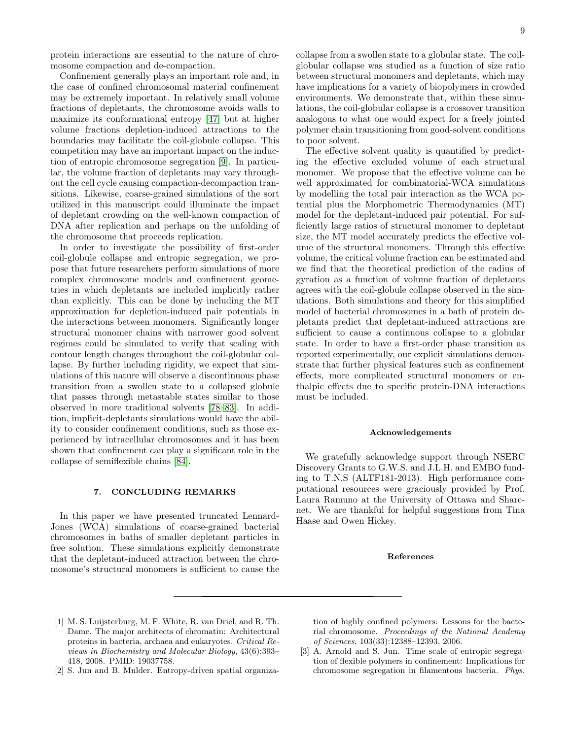protein interactions are essential to the nature of chromosome compaction and de-compaction.

Confinement generally plays an important role and, in the case of confined chromosomal material confinement may be extremely important. In relatively small volume fractions of depletants, the chromosome avoids walls to maximize its conformational entropy [\[47\]](#page-10-7) but at higher volume fractions depletion-induced attractions to the boundaries may facilitate the coil-globule collapse. This competition may have an important impact on the induction of entropic chromosome segregation [\[9\]](#page-9-0). In particular, the volume fraction of depletants may vary throughout the cell cycle causing compaction-decompaction transitions. Likewise, coarse-grained simulations of the sort utilized in this manuscript could illuminate the impact of depletant crowding on the well-known compaction of DNA after replication and perhaps on the unfolding of the chromosome that proceeds replication.

In order to investigate the possibility of first-order coil-globule collapse and entropic segregation, we propose that future researchers perform simulations of more complex chromosome models and confinement geometries in which depletants are included implicitly rather than explicitly. This can be done by including the MT approximation for depletion-induced pair potentials in the interactions between monomers. Significantly longer structural monomer chains with narrower good solvent regimes could be simulated to verify that scaling with contour length changes throughout the coil-globular collapse. By further including rigidity, we expect that simulations of this nature will observe a discontinuous phase transition from a swollen state to a collapsed globule that passes through metastable states similar to those observed in more traditional solvents [\[78–](#page-11-1)[83\]](#page-11-2). In addition, implicit-depletants simulations would have the ability to consider confinement conditions, such as those experienced by intracellular chromosomes and it has been shown that confinement can play a significant role in the collapse of semiflexible chains [\[84\]](#page-11-3).

## 7. CONCLUDING REMARKS

In this paper we have presented truncated Lennard-Jones (WCA) simulations of coarse-grained bacterial chromosomes in baths of smaller depletant particles in free solution. These simulations explicitly demonstrate that the depletant-induced attraction between the chromosome's structural monomers is sufficient to cause the collapse from a swollen state to a globular state. The coilglobular collapse was studied as a function of size ratio between structural monomers and depletants, which may have implications for a variety of biopolymers in crowded environments. We demonstrate that, within these simulations, the coil-globular collapse is a crossover transition analogous to what one would expect for a freely jointed polymer chain transitioning from good-solvent conditions to poor solvent.

The effective solvent quality is quantified by predicting the effective excluded volume of each structural monomer. We propose that the effective volume can be well approximated for combinatorial-WCA simulations by modelling the total pair interaction as the WCA potential plus the Morphometric Thermodynamics (MT) model for the depletant-induced pair potential. For sufficiently large ratios of structural monomer to depletant size, the MT model accurately predicts the effective volume of the structural monomers. Through this effective volume, the critical volume fraction can be estimated and we find that the theoretical prediction of the radius of gyration as a function of volume fraction of depletants agrees with the coil-globule collapse observed in the simulations. Both simulations and theory for this simplified model of bacterial chromosomes in a bath of protein depletants predict that depletant-induced attractions are sufficient to cause a continuous collapse to a globular state. In order to have a first-order phase transition as reported experimentally, our explicit simulations demonstrate that further physical features such as confinement effects, more complicated structural monomers or enthalpic effects due to specific protein-DNA interactions must be included.

#### Acknowledgements

We gratefully acknowledge support through NSERC Discovery Grants to G.W.S. and J.L.H. and EMBO funding to T.N.S (ALTF181-2013). High performance computational resources were graciously provided by Prof. Laura Ramuno at the University of Ottawa and Sharcnet. We are thankful for helpful suggestions from Tina Haase and Owen Hickey.

#### References

- <span id="page-8-0"></span>[1] M. S. Luijsterburg, M. F. White, R. van Driel, and R. Th. Dame. The major architects of chromatin: Architectural proteins in bacteria, archaea and eukaryotes. Critical Reviews in Biochemistry and Molecular Biology, 43(6):393– 418, 2008. PMID: 19037758.
- <span id="page-8-1"></span>[2] S. Jun and B. Mulder. Entropy-driven spatial organiza-

tion of highly confined polymers: Lessons for the bacterial chromosome. Proceedings of the National Academy of Sciences, 103(33):12388–12393, 2006.

[3] A. Arnold and S. Jun. Time scale of entropic segregation of flexible polymers in confinement: Implications for chromosome segregation in filamentous bacteria. Phys.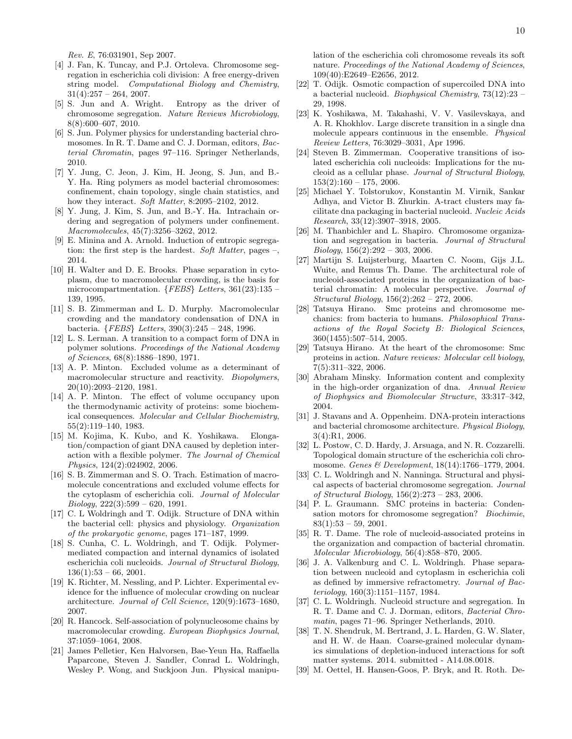Rev. E, 76:031901, Sep 2007.

- <span id="page-9-22"></span>[4] J. Fan, K. Tuncay, and P.J. Ortoleva. Chromosome segregation in escherichia coli division: A free energy-driven string model. Computational Biology and Chemistry,  $31(4):257 - 264, 2007.$
- <span id="page-9-21"></span>[5] S. Jun and A. Wright. Entropy as the driver of chromosome segregation. Nature Reviews Microbiology, 8(8):600–607, 2010.
- [6] S. Jun. Polymer physics for understanding bacterial chromosomes. In R. T. Dame and C. J. Dorman, editors, Bacterial Chromatin, pages 97–116. Springer Netherlands, 2010.
- [7] Y. Jung, C. Jeon, J. Kim, H. Jeong, S. Jun, and B.- Y. Ha. Ring polymers as model bacterial chromosomes: confinement, chain topology, single chain statistics, and how they interact. Soft Matter, 8:2095–2102, 2012.
- [8] Y. Jung, J. Kim, S. Jun, and B.-Y. Ha. Intrachain ordering and segregation of polymers under confinement. Macromolecules, 45(7):3256–3262, 2012.
- <span id="page-9-0"></span>[9] E. Minina and A. Arnold. Induction of entropic segregation: the first step is the hardest. Soft Matter, pages –, 2014.
- <span id="page-9-1"></span>[10] H. Walter and D. E. Brooks. Phase separation in cytoplasm, due to macromolecular crowding, is the basis for microcompartmentation.  ${FEBS}$  Letters, 361(23):135 – 139, 1995.
- <span id="page-9-2"></span>[11] S. B. Zimmerman and L. D. Murphy. Macromolecular crowding and the mandatory condensation of DNA in bacteria. {FEBS} Letters, 390(3):245 – 248, 1996.
- <span id="page-9-3"></span>[12] L. S. Lerman. A transition to a compact form of DNA in polymer solutions. Proceedings of the National Academy of Sciences, 68(8):1886–1890, 1971.
- [13] A. P. Minton. Excluded volume as a determinant of macromolecular structure and reactivity. Biopolymers, 20(10):2093–2120, 1981.
- <span id="page-9-4"></span>[14] A. P. Minton. The effect of volume occupancy upon the thermodynamic activity of proteins: some biochemical consequences. Molecular and Cellular Biochemistry, 55(2):119–140, 1983.
- <span id="page-9-5"></span>[15] M. Kojima, K. Kubo, and K. Yoshikawa. Elongation/compaction of giant DNA caused by depletion interaction with a flexible polymer. The Journal of Chemical Physics, 124(2):024902, 2006.
- <span id="page-9-6"></span>[16] S. B. Zimmerman and S. O. Trach. Estimation of macromolecule concentrations and excluded volume effects for the cytoplasm of escherichia coli. Journal of Molecular  $Biology, 222(3):599-620, 1991.$
- <span id="page-9-7"></span>[17] C. L Woldringh and T. Odijk. Structure of DNA within the bacterial cell: physics and physiology. Organization of the prokaryotic genome, pages 171–187, 1999.
- <span id="page-9-8"></span>[18] S. Cunha, C. L. Woldringh, and T. Odijk. Polymermediated compaction and internal dynamics of isolated escherichia coli nucleoids. Journal of Structural Biology,  $136(1):53 - 66, 2001.$
- [19] K. Richter, M. Nessling, and P. Lichter. Experimental evidence for the influence of molecular crowding on nuclear architecture. Journal of Cell Science, 120(9):1673–1680, 2007.
- <span id="page-9-9"></span>[20] R. Hancock. Self-association of polynucleosome chains by macromolecular crowding. European Biophysics Journal, 37:1059–1064, 2008.
- <span id="page-9-10"></span>[21] James Pelletier, Ken Halvorsen, Bae-Yeun Ha, Raffaella Paparcone, Steven J. Sandler, Conrad L. Woldringh, Wesley P. Wong, and Suckjoon Jun. Physical manipu-

lation of the escherichia coli chromosome reveals its soft nature. Proceedings of the National Academy of Sciences, 109(40):E2649–E2656, 2012.

- <span id="page-9-11"></span>[22] T. Odijk. Osmotic compaction of supercoiled DNA into a bacterial nucleoid. Biophysical Chemistry, 73(12):23 – 29, 1998.
- <span id="page-9-12"></span>[23] K. Yoshikawa, M. Takahashi, V. V. Vasilevskaya, and A. R. Khokhlov. Large discrete transition in a single dna molecule appears continuous in the ensemble. Physical Review Letters, 76:3029–3031, Apr 1996.
- <span id="page-9-13"></span>[24] Steven B. Zimmerman. Cooperative transitions of isolated escherichia coli nucleoids: Implications for the nucleoid as a cellular phase. Journal of Structural Biology,  $153(2):160 - 175$ , 2006.
- <span id="page-9-14"></span>[25] Michael Y. Tolstorukov, Konstantin M. Virnik, Sankar Adhya, and Victor B. Zhurkin. A-tract clusters may facilitate dna packaging in bacterial nucleoid. Nucleic Acids Research, 33(12):3907–3918, 2005.
- <span id="page-9-15"></span>[26] M. Thanbichler and L. Shapiro. Chromosome organization and segregation in bacteria. Journal of Structural  $Biology, 156(2):292-303, 2006.$
- <span id="page-9-16"></span>[27] Martijn S. Luijsterburg, Maarten C. Noom, Gijs J.L. Wuite, and Remus Th. Dame. The architectural role of nucleoid-associated proteins in the organization of bacterial chromatin: A molecular perspective. Journal of Structural Biology, 156(2):262 – 272, 2006.
- <span id="page-9-17"></span>[28] Tatsuya Hirano. Smc proteins and chromosome mechanics: from bacteria to humans. Philosophical Transactions of the Royal Society B: Biological Sciences, 360(1455):507–514, 2005.
- <span id="page-9-18"></span>[29] Tatsuya Hirano. At the heart of the chromosome: Smc proteins in action. Nature reviews: Molecular cell biology, 7(5):311–322, 2006.
- <span id="page-9-19"></span>[30] Abraham Minsky. Information content and complexity in the high-order organization of dna. Annual Review of Biophysics and Biomolecular Structure, 33:317–342, 2004.
- <span id="page-9-20"></span>[31] J. Stavans and A. Oppenheim. DNA-protein interactions and bacterial chromosome architecture. Physical Biology, 3(4):R1, 2006.
- <span id="page-9-23"></span>[32] L. Postow, C. D. Hardy, J. Arsuaga, and N. R. Cozzarelli. Topological domain structure of the escherichia coli chromosome. Genes & Development, 18(14):1766–1779, 2004.
- <span id="page-9-24"></span>[33] C. L. Woldringh and N. Nanninga. Structural and physical aspects of bacterial chromosome segregation. Journal of Structural Biology, 156(2):273 – 283, 2006.
- <span id="page-9-25"></span>[34] P. L. Graumann. SMC proteins in bacteria: Condensation motors for chromosome segregation? Biochimie,  $83(1):53 - 59, 2001.$
- <span id="page-9-26"></span>[35] R. T. Dame. The role of nucleoid-associated proteins in the organization and compaction of bacterial chromatin. Molecular Microbiology, 56(4):858–870, 2005.
- <span id="page-9-27"></span>[36] J. A. Valkenburg and C. L. Woldringh. Phase separation between nucleoid and cytoplasm in escherichia coli as defined by immersive refractometry. Journal of Bacteriology, 160(3):1151–1157, 1984.
- <span id="page-9-28"></span>[37] C. L. Woldringh. Nucleoid structure and segregation. In R. T. Dame and C. J. Dorman, editors, Bacterial Chromatin, pages 71–96. Springer Netherlands, 2010.
- <span id="page-9-29"></span>[38] T. N. Shendruk, M. Bertrand, J. L. Harden, G. W. Slater, and H. W. de Haan. Coarse-grained molecular dynamics simulations of depletion-induced interactions for soft matter systems. 2014. submitted - A14.08.0018.
- <span id="page-9-30"></span>[39] M. Oettel, H. Hansen-Goos, P. Bryk, and R. Roth. De-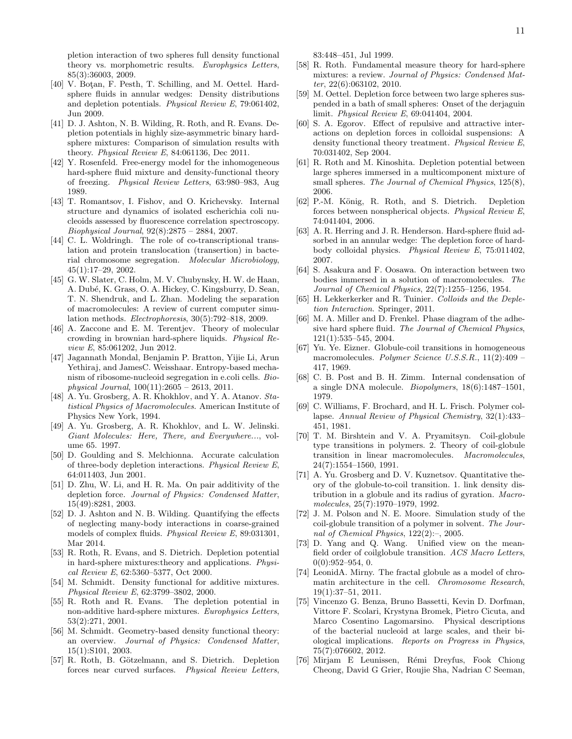pletion interaction of two spheres full density functional theory vs. morphometric results. Europhysics Letters, 85(3):36003, 2009.

- <span id="page-10-1"></span>[40] V. Botan, F. Pesth, T. Schilling, and M. Oettel. Hardsphere fluids in annular wedges: Density distributions and depletion potentials. Physical Review E, 79:061402, Jun 2009.
- <span id="page-10-0"></span>[41] D. J. Ashton, N. B. Wilding, R. Roth, and R. Evans. Depletion potentials in highly size-asymmetric binary hardsphere mixtures: Comparison of simulation results with theory. Physical Review E, 84:061136, Dec 2011.
- <span id="page-10-2"></span>[42] Y. Rosenfeld. Free-energy model for the inhomogeneous hard-sphere fluid mixture and density-functional theory of freezing. Physical Review Letters, 63:980–983, Aug 1989.
- <span id="page-10-3"></span>[43] T. Romantsov, I. Fishov, and O. Krichevsky. Internal structure and dynamics of isolated escherichia coli nucleoids assessed by fluorescence correlation spectroscopy. Biophysical Journal, 92(8):2875 – 2884, 2007.
- <span id="page-10-4"></span>[44] C. L. Woldringh. The role of co-transcriptional translation and protein translocation (transertion) in bacterial chromosome segregation. Molecular Microbiology, 45(1):17–29, 2002.
- <span id="page-10-5"></span>[45] G. W. Slater, C. Holm, M. V. Chubynsky, H. W. de Haan, A. Dubé, K. Grass, O. A. Hickey, C. Kingsburry, D. Sean, T. N. Shendruk, and L. Zhan. Modeling the separation of macromolecules: A review of current computer simulation methods. Electrophoresis, 30(5):792–818, 2009.
- <span id="page-10-6"></span>[46] A. Zaccone and E. M. Terentjev. Theory of molecular crowding in brownian hard-sphere liquids. Physical Review E, 85:061202, Jun 2012.
- <span id="page-10-7"></span>[47] Jagannath Mondal, Benjamin P. Bratton, Yijie Li, Arun Yethiraj, and JamesC. Weisshaar. Entropy-based mechanism of ribosome-nucleoid segregation in e.coli cells. Biophysical Journal, 100(11):2605 – 2613, 2011.
- <span id="page-10-8"></span>[48] A. Yu. Grosberg, A. R. Khokhlov, and Y. A. Atanov. *Sta*tistical Physics of Macromolecules. American Institute of Physics New York, 1994.
- <span id="page-10-9"></span>[49] A. Yu. Grosberg, A. R. Khokhlov, and L. W. Jelinski. Giant Molecules: Here, There, and Everywhere..., volume 65. 1997.
- <span id="page-10-10"></span>[50] D. Goulding and S. Melchionna. Accurate calculation of three-body depletion interactions. Physical Review E, 64:011403, Jun 2001.
- [51] D. Zhu, W. Li, and H. R. Ma. On pair additivity of the depletion force. Journal of Physics: Condensed Matter, 15(49):8281, 2003.
- <span id="page-10-11"></span>[52] D. J. Ashton and N. B. Wilding. Quantifying the effects of neglecting many-body interactions in coarse-grained models of complex fluids. Physical Review E, 89:031301, Mar 2014.
- <span id="page-10-12"></span>[53] R. Roth, R. Evans, and S. Dietrich. Depletion potential in hard-sphere mixtures:theory and applications. Physical Review E, 62:5360–5377, Oct 2000.
- [54] M. Schmidt. Density functional for additive mixtures. Physical Review E, 62:3799–3802, 2000.
- [55] R. Roth and R. Evans. The depletion potential in non-additive hard-sphere mixtures. Europhysics Letters, 53(2):271, 2001.
- [56] M. Schmidt. Geometry-based density functional theory: an overview. Journal of Physics: Condensed Matter, 15(1):S101, 2003.
- [57] R. Roth, B. Götzelmann, and S. Dietrich. Depletion forces near curved surfaces. Physical Review Letters,

83:448–451, Jul 1999.

- [58] R. Roth. Fundamental measure theory for hard-sphere mixtures: a review. Journal of Physics: Condensed Matter, 22(6):063102, 2010.
- [59] M. Oettel. Depletion force between two large spheres suspended in a bath of small spheres: Onset of the derjaguin limit. Physical Review E, 69:041404, 2004.
- [60] S. A. Egorov. Effect of repulsive and attractive interactions on depletion forces in colloidal suspensions: A density functional theory treatment. Physical Review E, 70:031402, Sep 2004.
- [61] R. Roth and M. Kinoshita. Depletion potential between large spheres immersed in a multicomponent mixture of small spheres. The Journal of Chemical Physics, 125(8), 2006.
- [62] P.-M. König, R. Roth, and S. Dietrich. Depletion forces between nonspherical objects. Physical Review E, 74:041404, 2006.
- <span id="page-10-13"></span>[63] A. R. Herring and J. R. Henderson. Hard-sphere fluid adsorbed in an annular wedge: The depletion force of hardbody colloidal physics. Physical Review E, 75:011402, 2007.
- <span id="page-10-14"></span>[64] S. Asakura and F. Oosawa. On interaction between two bodies immersed in a solution of macromolecules. The Journal of Chemical Physics, 22(7):1255–1256, 1954.
- <span id="page-10-15"></span>[65] H. Lekkerkerker and R. Tuinier. Colloids and the Depletion Interaction. Springer, 2011.
- <span id="page-10-16"></span>[66] M. A. Miller and D. Frenkel. Phase diagram of the adhesive hard sphere fluid. The Journal of Chemical Physics, 121(1):535–545, 2004.
- <span id="page-10-17"></span>[67] Yu. Ye. Eizner. Globule-coil transitions in homogeneous macromolecules. Polymer Science U.S.S.R., 11(2):409 – 417, 1969.
- [68] C. B. Post and B. H. Zimm. Internal condensation of a single DNA molecule. Biopolymers, 18(6):1487–1501, 1979.
- [69] C. Williams, F. Brochard, and H. L. Frisch. Polymer collapse. Annual Review of Physical Chemistry, 32(1):433– 451, 1981.
- [70] T. M. Birshtein and V. A. Pryamitsyn. Coil-globule type transitions in polymers. 2. Theory of coil-globule transition in linear macromolecules. Macromolecules, 24(7):1554–1560, 1991.
- [71] A. Yu. Grosberg and D. V. Kuznetsov. Quantitative theory of the globule-to-coil transition. 1. link density distribution in a globule and its radius of gyration. Macromolecules, 25(7):1970–1979, 1992.
- <span id="page-10-18"></span>[72] J. M. Polson and N. E. Moore. Simulation study of the coil-globule transition of a polymer in solvent. The Journal of Chemical Physics, 122(2):–, 2005.
- <span id="page-10-19"></span>[73] D. Yang and Q. Wang. Unified view on the meanfield order of coilglobule transition. ACS Macro Letters,  $0(0):952-954, 0.$
- <span id="page-10-20"></span>[74] LeonidA. Mirny. The fractal globule as a model of chromatin architecture in the cell. Chromosome Research, 19(1):37–51, 2011.
- <span id="page-10-21"></span>[75] Vincenzo G. Benza, Bruno Bassetti, Kevin D. Dorfman, Vittore F. Scolari, Krystyna Bromek, Pietro Cicuta, and Marco Cosentino Lagomarsino. Physical descriptions of the bacterial nucleoid at large scales, and their biological implications. Reports on Progress in Physics, 75(7):076602, 2012.
- <span id="page-10-22"></span>[76] Mirjam E Leunissen, Rémi Dreyfus, Fook Chiong Cheong, David G Grier, Roujie Sha, Nadrian C Seeman,